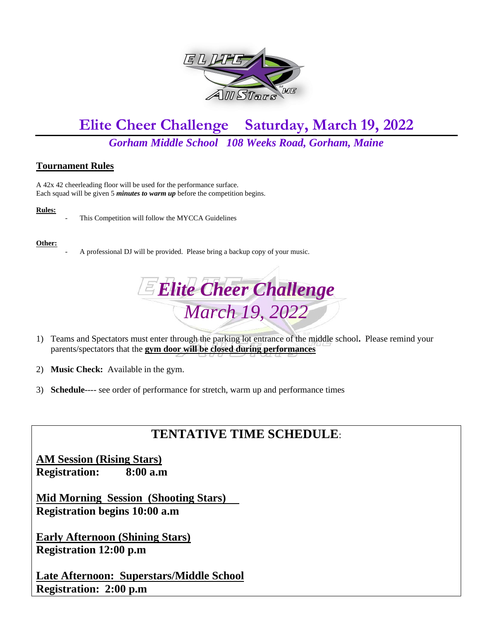

# **Elite Cheer Challenge Saturday, March 19, 2022**

### *Gorham Middle School 108 Weeks Road, Gorham, Maine*

### **Tournament Rules**

A 42x 42 cheerleading floor will be used for the performance surface. Each squad will be given 5 *minutes to warm up* before the competition begins.

#### **Rules:**



This Competition will follow the MYCCA Guidelines

#### **Other:**

A professional DJ will be provided. Please bring a backup copy of your music.



- 1) Teams and Spectators must enter through the parking lot entrance of the middle school**.** Please remind your parents/spectators that the **gym door will be closed during performances**
- 2) **Music Check:** Available in the gym.
- 3) **Schedule**---- see order of performance for stretch, warm up and performance times

## **TENTATIVE TIME SCHEDULE**:

**AM Session (Rising Stars) Registration: 8:00 a.m**

**Mid Morning Session (Shooting Stars) Registration begins 10:00 a.m**

**Early Afternoon (Shining Stars) Registration 12:00 p.m**

**Late Afternoon: Superstars/Middle School Registration: 2:00 p.m**